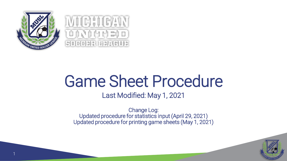



# Game Sheet Procedure

Last Modified: May 1, 2021

Change Log: Updated procedure for statistics input (April 29, 2021) Updated procedure for printing game sheets (May 1, 2021)

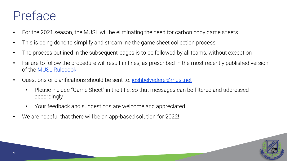### Preface

- For the 2021 season, the MUSL will be eliminating the need for carbon copy game sheets
- This is being done to simplify and streamline the game sheet collection process
- The process outlined in the subsequent pages is to be followed by all teams, without exception
- Failure to follow the procedure will result in fines, as prescribed in the most recently published version of the [MUSL Rulebook](https://musl.demosphere-secure.com/Rules)
- Questions or clarifications should be sent to: [joshbelvedere@musl.net](mailto:joshbelvedere@musl.net)
	- Please include "Game Sheet" in the title, so that messages can be filtered and addressed accordingly
	- Your feedback and suggestions are welcome and appreciated
- We are hopeful that there will be an app-based solution for 2022!

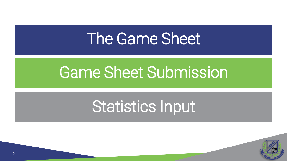## [The Game Sheet](#page-3-0)

# [Game Sheet Submission](#page-9-0)

# [Statistics Input](#page-15-0)

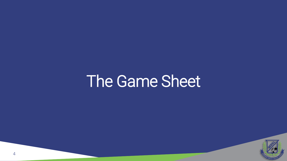## <span id="page-3-0"></span>The Game Sheet

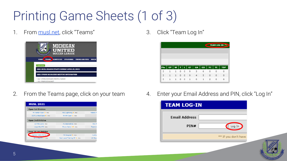## Printing Game Sheets (1 of 3)

1. From <musl.net>, click "Teams"



3. Click "Team Log In"



2. From the Teams page, click on your team

| <b>MUSL 2021</b>         |                              |                 |  |  |  |  |
|--------------------------|------------------------------|-----------------|--|--|--|--|
| <b>Open 1st Division</b> |                              |                 |  |  |  |  |
| FK Vardar Open 3 ros     | FSC Lightning 4 ros          | <b>Rebels F</b> |  |  |  |  |
| SCFC United Open 6 ros   | WHAM Open 1 ros              |                 |  |  |  |  |
| <b>Open 2nd Division</b> |                              |                 |  |  |  |  |
| 13 Mile Lions ros        | FC Beercelona ros            | <b>FSC R</b>    |  |  |  |  |
| LiquorPool FC ros        | Provo Calcio 15 ros          | Tarantul        |  |  |  |  |
| Over 30 1st Division     |                              |                 |  |  |  |  |
| Canton Celtic FC 30 rol  | FK Beograd 4 ros             | Hurling         |  |  |  |  |
| MI United FC 1 ros       | Next Level Training FC 1 ros | <b>UK Roya</b>  |  |  |  |  |

4. Enter your Email Address and PIN, click "Log In"

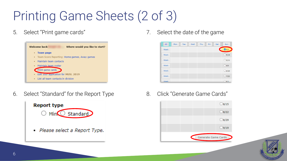## Printing Game Sheets (2 of 3)

5. Select "Print game cards"



6. Select "Standard" for the Report Type



7. Select the date of the game



8. Click "Generate Game Cards"



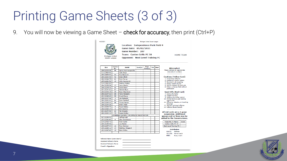### Printing Game Sheets (3 of 3)

9. You will now be viewing a Game Sheet  $-$  check for accuracy, then print (Ctrl+P)



**Location: Independence Park Field 4** Game Date: 05/02/2021 Game Number: 207 Team: Canton Celtic FC 30 **HOME TEAM Opponent: Next Level Training FC** 

Michigan United Soccer League

| ID#          | <b>Jersey</b><br>No. | <b>NAME</b>                                 | Goal(s) | Own<br>Goal(s) | Yel | Red |
|--------------|----------------------|---------------------------------------------|---------|----------------|-----|-----|
| 189-21233-29 | 99                   | Spiros Assimacopoulos                       |         |                |     |     |
| 213-22469-45 |                      | Safe Ateya                                  |         |                |     |     |
| 189-21459-53 | 22                   | Don Reckwith                                |         |                |     |     |
| 188-21603-08 | 42                   | <b>Brian Elliott</b>                        |         |                |     |     |
| 186-21244-78 | 41                   | <b>Erich Farner</b>                         |         |                |     |     |
| 185-21264-51 | 10                   | John Kaczmarek                              |         |                |     |     |
| 214-22493-02 |                      | <b>Andrew Klebba</b>                        |         |                |     |     |
| 184-21258-54 | 17                   | <b>Jason Martin</b>                         |         |                |     |     |
| 189-21245-31 | 44                   | David Meyn                                  |         |                |     |     |
| 187-21247-62 | 57                   | <b>Patrick Meyn</b>                         |         |                |     |     |
| 183-21232-19 | 25                   | <b>Rvan Okerstrom</b>                       |         |                |     |     |
| 186-21247-22 | GK                   | <b>Tavio Palazzolo</b>                      |         |                |     |     |
| 182-21248-40 | <b>GK</b>            | <b>Grant Pierce</b>                         |         |                |     |     |
| 189-21237-46 | з                    | <b>Jan Rigterink</b>                        |         |                |     |     |
| 180-21603-97 | 66                   | <b>Rvan Seelhoff</b>                        |         |                |     |     |
| 184-21243-23 | GK                   | <b>Tracee Senter</b>                        |         |                |     |     |
| 189-21244-26 |                      | <b>Brian Vitale</b>                         |         |                |     |     |
| 183-21659-70 | ٥                    | <b>Brent Walker</b>                         |         |                |     |     |
| 184-21242-17 | 4                    | Eric Wascha                                 |         |                |     |     |
| 183-21244-06 | 23                   | <b>Pat Winzeler</b>                         |         |                |     |     |
| 186-21603-18 | 75                   | Daniel Wolka                                |         |                |     |     |
|              |                      | SUSPENDED PLAYERS / INCOMPLETE REGISTRATION |         |                |     |     |
| 187-21258-93 |                      | <b>Jeff Bennett</b>                         |         |                |     |     |
| 187-21242-63 | 6                    | <b>Alex Christenson</b>                     |         |                |     |     |
| 219-22426-72 |                      | <b>Rvan Curtis</b>                          |         |                |     |     |
| 184-21244-96 |                      | <b>Jon Martin</b>                           |         |                |     |     |
| 189-21257-44 | 12                   | <b>Ryan Norman</b>                          |         |                |     |     |
| 195-21880-12 | 14                   | Matthew Wiegand                             |         |                |     |     |
| 182-21247-42 | 18                   | Mark Wolka                                  |         |                |     |     |

| <b>Misconduct</b><br>Please indicate by appropriate<br>misconduct numbers                                                                                                                                                                                              |       |
|------------------------------------------------------------------------------------------------------------------------------------------------------------------------------------------------------------------------------------------------------------------------|-------|
| <b>Cautions (Yellow Card)</b><br>1. Unsporting behavior<br>2. Dissent by word or action<br>3. Persistent rule breaking<br>4. Delays restart of play<br>5. Fails to respect 10 vard rule<br>6. Enters or leaves field without<br>permission                             |       |
| Send-Offs (Red Card)<br>7. Serious foul play<br>8. Violent Conduct<br>9. Spitting at another person<br>10. Denies obvious goal scoring<br>opportunity<br>11. Offensive, abusive, or insulting<br>language<br>12. Second cautioned offense<br>13. Referee Abuse/Assault |       |
| All red cards are a 1 game<br>suspension. Additional<br>games and/or fines may be<br>added by the Commissioner.                                                                                                                                                        |       |
| <b>Team No. &amp; Name</b><br>Canton Celtic FC 30<br><b>Next Level Training FC</b>                                                                                                                                                                                     | Score |
| <b>Distribution</b><br>Referee<br>WHITE:<br>YFLLOW:<br>Home coach<br>PINK:<br>Away coach                                                                                                                                                                               |       |





7 7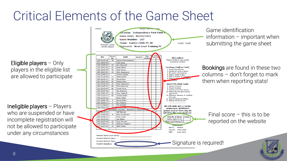### Critical Elements of the Game Sheet

Eligible players  $-$  Only players in the eligible list are allowed to participate

Ineligible players – Players who are suspended or have incomplete registration will not be allowed to participate under any circumstances

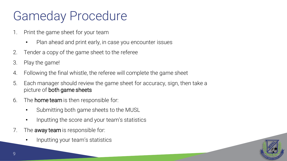### Gameday Procedure

- 1. Print the game sheet for your team
	- Plan ahead and print early, in case you encounter issues
- 2. Tender a copy of the game sheet to the referee
- 3. Play the game!
- 4. Following the final whistle, the referee will complete the game sheet
- 5. Each manager should review the game sheet for accuracy, sign, then take a picture of both game sheets
- 6. The home team is then responsible for:
	- Submitting both game sheets to the MUSL
	- Inputting the score and your team's statistics
- 7. The **away team** is responsible for:
	- Inputting your team's statistics

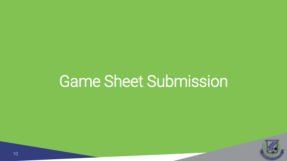# <span id="page-9-0"></span>Game Sheet Submission

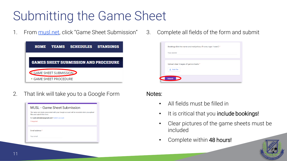### Submitting the Game Sheet

1. From <musl.net>, click "Game Sheet Submission"

| HOME                                        | <b>TEAMS</b>                   | <b>SCHEDULES</b> | <b>STANDINGS</b> |  |  |  |  |
|---------------------------------------------|--------------------------------|------------------|------------------|--|--|--|--|
| <b>GAMES SHEET SUBMISSION AND PROCEDURE</b> |                                |                  |                  |  |  |  |  |
| <b>GAME SHEET SUBMISSION</b>                |                                |                  |                  |  |  |  |  |
|                                             | $\bullet$ GAME SHEET PROCEDURE |                  |                  |  |  |  |  |

2. That link will take you to a Google Form



3. Complete all fields of the form and submit

| Your answer |                                      |  |  |
|-------------|--------------------------------------|--|--|
|             |                                      |  |  |
|             |                                      |  |  |
|             | Upload clear images of game sheets * |  |  |
| 土 Add file  |                                      |  |  |
|             |                                      |  |  |
|             |                                      |  |  |

#### Notes:

- All fields must be filled in
- It is critical that you include bookings!
- Clear pictures of the game sheets must be included
- Complete within 48 hours!

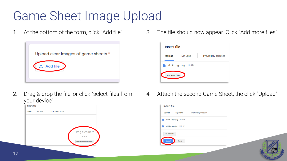### Game Sheet Image Upload

1. At the bottom of the form, click "Add file"



2. Drag & drop the file, or click "select files from your device"



3. The file should now appear. Click "Add more files"



4. Attach the second Game Sheet, the click "Upload"

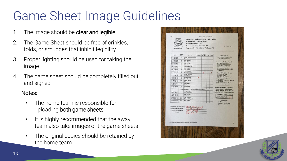### Game Sheet Image Guidelines

- The image should be clear and legible
- 2. The Game Sheet should be free of crinkles, folds, or smudges that inhibit legibility
- 3. Proper lighting should be used for taking the image
- 4. The game sheet should be completely filled out and signed

#### Notes:

- The home team is responsible for uploading both game sheets
- It is highly recommended that the away team also take images of the game sheets
- The original copies should be retained by the home team

| Michigan United<br>Soccer League |                                                      | Game Number: 207<br><b>Team: Canton Celtic FC 30</b><br><b>Opponent: Next Level Training FC</b> |         |                |     |                         | <b>HOME TEAM</b>                                                 |
|----------------------------------|------------------------------------------------------|-------------------------------------------------------------------------------------------------|---------|----------------|-----|-------------------------|------------------------------------------------------------------|
| $_{\text{max}}$                  | Jersey<br>No.                                        | <b>NAME</b>                                                                                     | Goal(s) | Own<br>Goal(s) | Yel | Red                     | <b>Misconduct</b>                                                |
| 189-21233-29                     | 99                                                   | Spiros Assimacopoulos                                                                           |         |                |     |                         | Please indicate by appropriate                                   |
| 213-22469-45                     |                                                      | Safe Ateya                                                                                      |         |                |     |                         | misconduct numbers                                               |
| 189-21459-53                     | 22                                                   | Don Beckwith                                                                                    |         |                |     |                         |                                                                  |
| 188-21603-08                     | 42                                                   | <b>Brian Elliott</b>                                                                            |         |                |     |                         | <b>Cautions (Yellow Card)</b>                                    |
| 186-21244-78<br>185-21264-51     | 41<br>10                                             | <b>Erich Farner</b>                                                                             |         |                |     |                         | 1. Unsporting behavior<br>2. Dissent by word or action           |
| 214-22493-02                     |                                                      | John Kaczmarek<br>Andrew Klebba                                                                 |         |                |     |                         | 3. Persistent rule breaking                                      |
| 184-21258-54                     | 17                                                   | <b>Jason Martin</b>                                                                             |         |                |     |                         | 4. Delays restart of play<br>5. Fails to respect 10 yard rule    |
| 189-21245-31                     | $\Delta$                                             | David Meyn                                                                                      |         |                |     |                         | 6. Enters or leaves field without                                |
| 187-21247-62                     | 57                                                   | Patrick Meyn                                                                                    |         |                |     |                         | permission                                                       |
| 183-21232-19                     | 25                                                   | Ryan Okerstrom                                                                                  |         | з              |     | $\overline{\mathbf{z}}$ | Send-Offs (Red Card)                                             |
| 186-21247-22                     | GK                                                   | Tavio Palazzolo                                                                                 |         |                |     |                         | 7. Serious foul play                                             |
| 182-21248-40                     | CKK                                                  | <b>Grant Pierce</b>                                                                             |         |                |     |                         | <b>S. Violent Conduct</b>                                        |
| 189-21237-46                     | a                                                    | <b>Jan Rigterink</b>                                                                            | 1       |                |     |                         | 9. Spitting at another person<br>10. Denies obvious goal scoring |
| 180-21603-97                     | 66                                                   | <b>Ryan Seelhoff</b>                                                                            |         |                |     |                         | opportunity                                                      |
| 184-21243-23                     | GK                                                   | <b>Tracee Senter</b>                                                                            |         |                |     |                         | 11. Offensive, abusive, or insulting<br>language                 |
| 189-21244-26<br>183-21659-70     | $\overline{Q}$                                       | <b>Brian Vitale</b><br><b>Brent Walker</b>                                                      |         |                |     |                         | 12. Second cautioned offense                                     |
| 184-21242-17                     | $\Delta$                                             | Eric Wascha                                                                                     |         |                |     |                         | 13. Referee Abuse/Assault                                        |
| 183-21244-06                     | 23                                                   | Pat Winzeler                                                                                    |         |                |     |                         |                                                                  |
| 186-21603-18                     | 75                                                   | <b>Daniel Wolka</b>                                                                             |         |                |     |                         | All red cards are a 1 game                                       |
|                                  |                                                      | SUSPENDED PLAYERS / INCOMPLETE REGISTRATION                                                     |         |                |     |                         | suspension. Additional                                           |
| 187-21258-93                     |                                                      | <b>Jeff Bennett</b>                                                                             |         |                |     |                         | games and/or fines may be<br>added by the Commissioner.          |
| 187-21242-63                     | ×                                                    | Alex Christenson                                                                                |         |                |     |                         |                                                                  |
| 219-22426-72                     |                                                      | <b>Ryan Curtis</b>                                                                              |         |                |     |                         | Team No. & Name<br>Score                                         |
| 184-21244-96                     |                                                      | Jon Martin                                                                                      |         |                |     |                         | Canton Celtic FC 30                                              |
| 189-21257-44<br>195-21880-12     | 12<br>14                                             | <b>Ryan Norman</b>                                                                              |         |                |     |                         | Next Level Training FC                                           |
| 182-21247-42                     | 18                                                   | Matthew Wiegand<br>Mark Wolka                                                                   |         |                |     |                         | <b>Distribution</b>                                              |
|                                  |                                                      |                                                                                                 |         |                |     |                         | WHITE:<br>Referee                                                |
|                                  |                                                      |                                                                                                 |         |                |     |                         | YELLOW: Home coach                                               |
| Referee's Name (print clearly)   | Assistant Referee's Name<br>Assistant Referee's Name | tarold Kirkwood<br>racie Centaur<br><b>6444</b>                                                 |         |                |     |                         | PINK:<br>Away coach                                              |

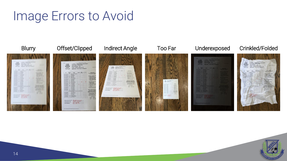### Image Errors to Avoid



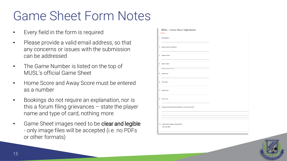### Game Sheet Form Notes

- Every field in the form is required
- Please provide a valid email address, so that any concerns or issues with the submission can be addressed
- The Game Number is listed on the top of MUSL's official Game Sheet
- Home Score and Away Score must be entered as a number
- Bookings do not require an explanation, nor is this a forum filing grievances – state the player name and type of card, nothing more
- Game Sheet images need to be clear and legible - only image files will be accepted (i.e. no PDFs or other formats)

| 1. Email address *                                                  |  |
|---------------------------------------------------------------------|--|
|                                                                     |  |
| 2. Name of person submitting *                                      |  |
|                                                                     |  |
| 3. Game Number*                                                     |  |
| 4. Date of Game *                                                   |  |
| Example: January 7, 2019                                            |  |
|                                                                     |  |
| 5. Home Team *                                                      |  |
| 6. Away Team*                                                       |  |
|                                                                     |  |
| 7. Home Score *                                                     |  |
|                                                                     |  |
| 8. Away Score *                                                     |  |
|                                                                     |  |
| 9. Bookings (list the name and red/yellow; if none, type "none") *  |  |
|                                                                     |  |
|                                                                     |  |
|                                                                     |  |
| 10. Upload clear images of game sheets *<br><b>Files submitted:</b> |  |

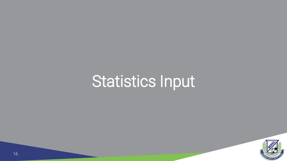# <span id="page-15-0"></span>Statistics Input

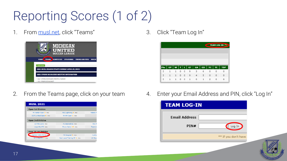## Reporting Scores (1 of 2)

1. From <musl.net>, click "Teams"



3. Click "Team Log In"



2. From the Teams page, click on your team

| <b>MUSL 2021</b>         |                              |                 |  |  |  |  |  |
|--------------------------|------------------------------|-----------------|--|--|--|--|--|
| <b>Open 1st Division</b> |                              |                 |  |  |  |  |  |
| FK Vardar Open 3 ros     | FSC Lightning 4 ros          | <b>Rebels F</b> |  |  |  |  |  |
| SCFC United Open 6 ros   | WHAM Open 1 ros              |                 |  |  |  |  |  |
| <b>Open 2nd Division</b> |                              |                 |  |  |  |  |  |
| 13 Mile Lions ros        | <b>EC Beercelona</b> ros     | <b>FSC R</b>    |  |  |  |  |  |
| LiquorPool FC ros        | Provo Calcio 15 ros          | Tarantul        |  |  |  |  |  |
| Over 30 1st Division     |                              |                 |  |  |  |  |  |
| Canton Celtic FC 30 rol  | FK Beograd 4 ros             | Hurling         |  |  |  |  |  |
| MI United FC 1 ros       | Next Level Training FC 1 ros | <b>UK Roya</b>  |  |  |  |  |  |

4. Enter your Email Address and PIN, click "Log In"

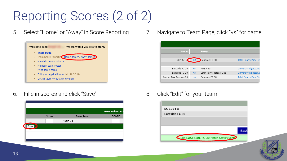## Reporting Scores (2 of 2)

5. Select "Home" or "Away" in Score Reporting



6. Fille in scores and click "Save"



7. Navigate to Team Page, click "vs" for game



8. Click "Edit" for your team



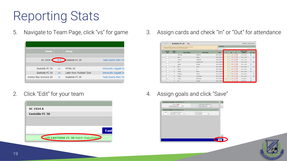### Reporting Stats

5. Navigate to Team Page, click "vs" for game



2. Click "Edit" for your team



3. Assign cards and check "In" or "Out" for attendance

| * You may override Jersey #'s & Positions for this specific Match<br>* IN and OUT indicates a player's Match Participation |                            |                           |                   |                  |              | <b>WEATHER</b>           |                         |                         |                            |           |           |  |  |
|----------------------------------------------------------------------------------------------------------------------------|----------------------------|---------------------------|-------------------|------------------|--------------|--------------------------|-------------------------|-------------------------|----------------------------|-----------|-----------|--|--|
|                                                                                                                            | <b>MATCH</b><br><b>IFR</b> | <b>TEAM</b><br><b>JER</b> | <b>FIRST NAME</b> | <b>LAST NAME</b> | TD#          | v                        | 2Y                      | R                       | <b>DATE LAST</b><br>CARDED |           | IN OUT    |  |  |
| 01                                                                                                                         |                            |                           | Nicholas          | DeMarco          | 189-21264-57 | $\overline{\phantom{a}}$ | $\checkmark$            | $\checkmark$            | Never carded               | $\bullet$ | $\circ$   |  |  |
| 02                                                                                                                         |                            |                           | Neal              | Gross            | 186-21236-58 | $\checkmark$             | $\checkmark$            | $\checkmark$            | Never carded               | $\circ$   | G         |  |  |
| 03                                                                                                                         |                            |                           | Michael           | Markliohn        | 183-21234-31 | $\overline{\mathbf{v}}$  | $\overline{\mathbf{v}}$ | $\vee$                  | Never carded               | $\bullet$ | $\circ$   |  |  |
| 04.                                                                                                                        |                            |                           | Rom               | Senakiewich      | 192-21956-96 | $\checkmark$             | $\checkmark$            | $\checkmark$            | Never carded               | n.        |           |  |  |
| OS.                                                                                                                        |                            |                           | Daniel            | Winkfer          | 184-21559-71 | $\checkmark$             | $\checkmark$            | $\overline{\mathbf{v}}$ | Never carded               | $\bullet$ | $\circ$   |  |  |
| 05.                                                                                                                        | E                          | $\overline{z}$            | <b>Rob</b>        | Kruse            | 183-21258-30 | $\checkmark$             | $\checkmark$            | $\overline{\mathbf{v}}$ | Never carded               | $\Omega$  | $\bullet$ |  |  |
| 07                                                                                                                         | l s                        | $\overline{\mathbf{3}}$   | Sergei            | Lie              | 183-21241-51 | $\overline{\mathbf{v}}$  | $\check{ }$             | $\checkmark$            | Never carded               | $\bullet$ | $\circ$   |  |  |
| OR.                                                                                                                        | ls.                        | $\overline{\mathbf{S}}$   | Stuart            | Bryan            | 181-21243-18 | $\overline{\mathbf{v}}$  | $\overline{\mathbf{v}}$ | $\checkmark$            | Never carded               | $\bullet$ | O.        |  |  |
| 09.                                                                                                                        | $\overline{z}$             | 7                         | Stephen           | Andris           | 181-21236-79 | $\checkmark$             | $\overline{\mathbf{v}}$ | $\check{~}$             | Never carded               | $\cap$    | 演         |  |  |
| 10.                                                                                                                        | $\overline{z}$             | $\overline{z}$            | Robert            | Cumminos         | 187-21254-92 | $\overline{\mathbf{v}}$  | $\overline{\mathbf{v}}$ | $\checkmark$            | Never carded               | $\Omega$  | $\bullet$ |  |  |
| 11.                                                                                                                        | 10                         | 10                        | Joshua            | Belvedere        | 187-21250-58 | UB.<br>$\checkmark$      | $\checkmark$            | $\checkmark$            | 04/25/2021                 | œ.        | $\circ$   |  |  |
| 12.                                                                                                                        | 11                         | 11                        | $\Delta$ di       | Kokoshi          | 189-21240-65 | UB<br>$\checkmark$       | $\checkmark$            | $\checkmark$            | 04/25/2021                 |           | 40        |  |  |

4. Assign goals and click "Save"